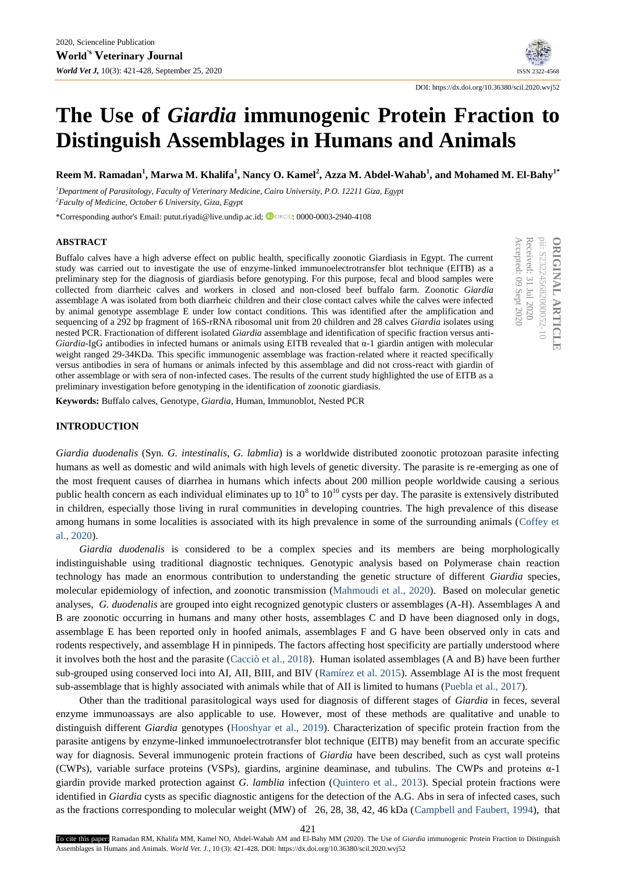# **The Use of** *Giardia* **immunogenic Protein Fraction to Distinguish Assemblages in Humans and Animals**

**Reem M. Ramadan<sup>1</sup> , Marwa M. Khalifa<sup>1</sup> , Nancy O. Kamel<sup>2</sup> , Azza M. Abdel-Wahab<sup>1</sup> , and Mohamed M. El-Bahy1\***

*<sup>1</sup>Department of Parasitology, Faculty of Veterinary Medicine, Cairo University, P.O. 12211 Giza, Egypt <sup>2</sup>Faculty of Medicine, October 6 University, Giza, Egypt*

\*Corresponding author's Email: putut.riyadi@live.undip.ac.id; : [0000-0003-2940-4108](https://orcid.org/0000-0003-2940-4108)

#### **ABSTRACT**

Buffalo calves have a high adverse effect on public health, specifically zoonotic Giardiasis in Egypt. The current study was carried out to investigate the use of enzyme-linked immunoelectrotransfer blot technique (EITB) as a preliminary step for the diagnosis of giardiasis before genotyping. For this purpose, fecal and blood samples were collected from diarrheic calves and workers in closed and non-closed beef buffalo farm. Zoonotic *Giardia* assemblage A was isolated from both diarrheic children and their close contact calves while the calves were infected by animal genotype assemblage E under low contact conditions. This was identified after the amplification and sequencing of a 292 bp fragment of 16S-rRNA ribosomal unit from 20 children and 28 calves *Giardia* isolates using nested PCR. Fractionation of different isolated *Giardia* assemblage and identification of specific fraction versus anti-*Giardia-*IgG antibodies in infected humans or animals using EITB revealed that α-1 giardin antigen with molecular weight ranged 29-34KDa. This specific immunogenic assemblage was fraction-related where it reacted specifically versus antibodies in sera of humans or animals infected by this assemblage and did not cross-react with giardin of other assemblage or with sera of non-infected cases. The results of the current study highlighted the use of EITB as a preliminary investigation before genotyping in the identification of zoonotic giardiasis.

pii: S232245682000052-10 Accepted: 09 Received: 31 pii: S232245682000052-10 **ORIGINAL ARTICLE ORIGINAL ARTICLE** Sept Jul 2020 2020

DOI: https://dx.doi.org/10.36380/scil.2020.wvj52

**Keywords:** Buffalo calves, Genotype*, Giardia*, Human, Immunoblot, Nested PCR

## **INTRODUCTION**

*Giardia duodenalis* (Syn. *G. intestinalis*, *G. labmlia*) is a worldwide distributed zoonotic protozoan parasite infecting humans as well as domestic and wild animals with high levels of genetic diversity. The parasite is re-emerging as one of the most frequent causes of diarrhea in humans which infects about 200 million people worldwide causing a serious public health concern as each individual eliminates up to  $10^8$  to  $10^{10}$  cysts per day. The parasite is extensively distributed in children, especially those living in rural communities in developing countries. The high prevalence of this disease among humans in some localities is associated with its high prevalence in some of the surrounding animals (Coffey et al., 2020).

*Giardia duodenalis* is considered to be a complex species and its members are being morphologically indistinguishable using traditional diagnostic techniques. Genotypic analysis based on Polymerase chain reaction technology has made an enormous contribution to understanding the genetic structure of different *Giardia* species, molecular epidemiology of infection, and zoonotic transmission (Mahmoudi et al., 2020). Based on molecular genetic analyses, *G. duodenalis* are grouped into eight recognized genotypic clusters or assemblages (A-H). Assemblages A and B are zoonotic occurring in humans and many other hosts, assemblages C and D have been diagnosed only in dogs, assemblage E has been reported only in hoofed animals, assemblages F and G have been observed only in cats and rodents respectively, and assemblage H in pinnipeds. The factors affecting host specificity are partially understood where it involves both the host and the parasite (Cacciò et al., 2018). Human isolated assemblages (A and B) have been further sub-grouped using conserved loci into AI, AII, BIII, and BIV (Ramírez et al. 2015). Assemblage AI is the most frequent sub-assemblage that is highly associated with animals while that of AII is limited to humans (Puebla et al., 2017).

Other than the traditional parasitological ways used for diagnosis of different stages of *Giardia* in feces, several enzyme immunoassays are also applicable to use. However, most of these methods are qualitative and unable to distinguish different *Giardia* genotypes (Hooshyar et al., 2019). Characterization of specific protein fraction from the parasite antigens by enzyme-linked immunoelectrotransfer blot technique (EITB) may benefit from an accurate specific way for diagnosis. Several immunogenic protein fractions of *Giardia* have been described, such as cyst wall proteins (CWPs), variable surface proteins (VSPs), giardins, arginine deaminase, and tubulins. The CWPs and proteins  $\alpha$ -1 giardin provide marked protection against *G. lamblia* infection (Quintero et al., 2013). Special protein fractions were identified in *Giardia* cysts as specific diagnostic antigens for the detection of the A.G. Abs in sera of infected cases, such as the fractions corresponding to molecular weight (MW) of 26, 28, 38, 42, 46 kDa (Campbell and Faubert, 1994), that

421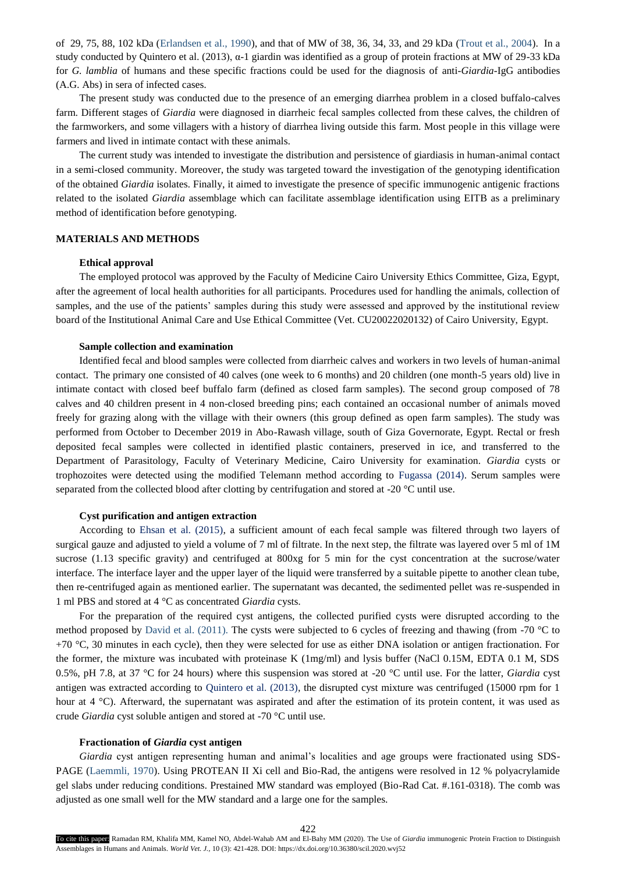of 29, 75, 88, 102 kDa (Erlandsen et al., 1990), and that of MW of 38, 36, 34, 33, and 29 kDa (Trout et al., 2004). In a study conducted by Quintero et al. (2013), α-1 giardin was identified as a group of protein fractions at MW of 29-33 kDa for *G. lamblia* of humans and these specific fractions could be used for the diagnosis of anti-*Giardia-*IgG antibodies (A.G. Abs) in sera of infected cases.

The present study was conducted due to the presence of an emerging diarrhea problem in a closed buffalo-calves farm. Different stages of *Giardia* were diagnosed in diarrheic fecal samples collected from these calves, the children of the farmworkers, and some villagers with a history of diarrhea living outside this farm. Most people in this village were farmers and lived in intimate contact with these animals.

The current study was intended to investigate the distribution and persistence of giardiasis in human-animal contact in a semi-closed community. Moreover, the study was targeted toward the investigation of the genotyping identification of the obtained *Giardia* isolates. Finally, it aimed to investigate the presence of specific immunogenic antigenic fractions related to the isolated *Giardia* assemblage which can facilitate assemblage identification using EITB as a preliminary method of identification before genotyping.

## **MATERIALS AND METHODS**

#### **Ethical approval**

The employed protocol was approved by the Faculty of Medicine Cairo University Ethics Committee, Giza, Egypt, after the agreement of local health authorities for all participants. Procedures used for handling the animals, collection of samples, and the use of the patients' samples during this study were assessed and approved by the institutional review board of the Institutional Animal Care and Use Ethical Committee (Vet. CU20022020132) of Cairo University, Egypt.

## **Sample collection and examination**

Identified fecal and blood samples were collected from diarrheic calves and workers in two levels of human-animal contact. The primary one consisted of 40 calves (one week to 6 months) and 20 children (one month-5 years old) live in intimate contact with closed beef buffalo farm (defined as closed farm samples). The second group composed of 78 calves and 40 children present in 4 non-closed breeding pins; each contained an occasional number of animals moved freely for grazing along with the village with their owners (this group defined as open farm samples). The study was performed from October to December 2019 in Abo-Rawash village, south of Giza Governorate, Egypt. Rectal or fresh deposited fecal samples were collected in identified plastic containers, preserved in ice, and transferred to the Department of Parasitology, Faculty of Veterinary Medicine, Cairo University for examination. *Giardia* cysts or trophozoites were detected using the modified Telemann method according to Fugassa (2014). Serum samples were separated from the collected blood after clotting by centrifugation and stored at -20 °C until use.

## **Cyst purification and antigen extraction**

According to Ehsan et al. (2015), a sufficient amount of each fecal sample was filtered through two layers of surgical gauze and adjusted to yield a volume of 7 ml of filtrate. In the next step, the filtrate was layered over 5 ml of 1M sucrose (1.13 specific gravity) and centrifuged at 800xg for 5 min for the cyst concentration at the sucrose/water interface. The interface layer and the upper layer of the liquid were transferred by a suitable pipette to another clean tube, then re-centrifuged again as mentioned earlier. The supernatant was decanted, the sedimented pellet was re-suspended in 1 ml PBS and stored at 4 °C as concentrated *Giardia* cysts.

For the preparation of the required cyst antigens, the collected purified cysts were disrupted according to the method proposed by David et al. (2011). The cysts were subjected to 6 cycles of freezing and thawing (from -70 °C to  $+70$  °C, 30 minutes in each cycle), then they were selected for use as either DNA isolation or antigen fractionation. For the former, the mixture was incubated with proteinase K (1mg/ml) and lysis buffer (NaCl 0.15M, EDTA 0.1 M, SDS 0.5%, pH 7.8, at 37 °C for 24 hours) where this suspension was stored at -20 °C until use. For the latter, *Giardia* cyst antigen was extracted according to Quintero et al. (2013), the disrupted cyst mixture was centrifuged (15000 rpm for 1 hour at 4 °C). Afterward, the supernatant was aspirated and after the estimation of its protein content, it was used as crude *Giardia* cyst soluble antigen and stored at -70 °C until use.

## **Fractionation of** *Giardia* **cyst antigen**

*Giardia* cyst antigen representing human and animal's localities and age groups were fractionated using SDS-PAGE (Laemmli, 1970). Using PROTEAN II Xi cell and Bio-Rad, the antigens were resolved in 12 % polyacrylamide gel slabs under reducing conditions. Prestained MW standard was employed (Bio-Rad Cat. #.161-0318). The comb was adjusted as one small well for the MW standard and a large one for the samples.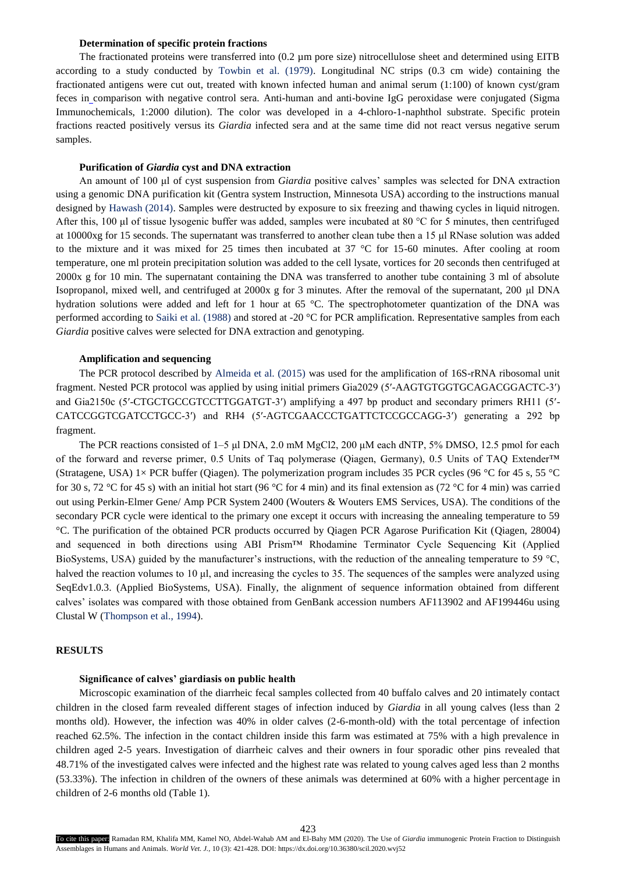# **Determination of specific protein fractions**

The fractionated proteins were transferred into (0.2 µm pore size) nitrocellulose sheet and determined using EITB according to a study conducted by Towbin et al. (1979). Longitudinal NC strips (0.3 cm wide) containing the fractionated antigens were cut out, treated with known infected human and animal serum (1:100) of known cyst/gram feces in comparison with negative control sera. Anti-human and anti-bovine IgG peroxidase were conjugated (Sigma Immunochemicals, 1:2000 dilution). The color was developed in a 4-chloro-1-naphthol substrate. Specific protein fractions reacted positively versus its *Giardia* infected sera and at the same time did not react versus negative serum samples.

# **Purification of** *Giardia* **cyst and DNA extraction**

An amount of 100 μl of cyst suspension from *Giardia* positive calves' samples was selected for DNA extraction using a genomic DNA purification kit (Gentra system Instruction, Minnesota USA) according to the instructions manual designed by Hawash (2014). Samples were destructed by exposure to six freezing and thawing cycles in liquid nitrogen. After this, 100 μl of tissue lysogenic buffer was added, samples were incubated at 80 °C for 5 minutes, then centrifuged at 10000xg for 15 seconds. The supernatant was transferred to another clean tube then a 15 μl RNase solution was added to the mixture and it was mixed for 25 times then incubated at 37 °C for 15-60 minutes. After cooling at room temperature, one ml protein precipitation solution was added to the cell lysate, vortices for 20 seconds then centrifuged at 2000x g for 10 min. The supernatant containing the DNA was transferred to another tube containing 3 ml of absolute Isopropanol, mixed well, and centrifuged at 2000x g for 3 minutes. After the removal of the supernatant, 200 μl DNA hydration solutions were added and left for 1 hour at 65 °C. The spectrophotometer quantization of the DNA was performed according to Saiki et al. (1988) and stored at -20 °C for PCR amplification. Representative samples from each *Giardia* positive calves were selected for DNA extraction and genotyping.

## **Amplification and sequencing**

The PCR protocol described by Almeida et al. (2015) was used for the amplification of 16S-rRNA ribosomal unit fragment. Nested PCR protocol was applied by using initial primers Gia2029 (5′-AAGTGTGGTGCAGACGGACTC-3′) and Gia2150c (5′-CTGCTGCCGTCCTTGGATGT-3′) amplifying a 497 bp product and secondary primers RH11 (5′- CATCCGGTCGATCCTGCC-3′) and RH4 (5′-AGTCGAACCCTGATTCTCCGCCAGG-3′) generating a 292 bp fragment.

The PCR reactions consisted of 1–5 μl DNA, 2.0 mM MgCl2, 200 μM each dNTP, 5% DMSO, 12.5 pmol for each of the forward and reverse primer, 0.5 Units of Taq polymerase (Qiagen, Germany), 0.5 Units of TAQ Extender™ (Stratagene, USA) 1× PCR buffer (Qiagen). The polymerization program includes 35 PCR cycles (96 °C for 45 s, 55 °C for 30 s, 72 °C for 45 s) with an initial hot start (96 °C for 4 min) and its final extension as (72 °C for 4 min) was carried out using Perkin-Elmer Gene/ Amp PCR System 2400 (Wouters & Wouters EMS Services, USA). The conditions of the secondary PCR cycle were identical to the primary one except it occurs with increasing the annealing temperature to 59 °C. The purification of the obtained PCR products occurred by Qiagen PCR Agarose Purification Kit (Qiagen, 28004) and sequenced in both directions using ABI Prism™ Rhodamine Terminator Cycle Sequencing Kit (Applied BioSystems, USA) guided by the manufacturer's instructions, with the reduction of the annealing temperature to 59 °C, halved the reaction volumes to 10 μl, and increasing the cycles to 35. The sequences of the samples were analyzed using SeqEdv1.0.3. (Applied BioSystems, USA). Finally, the alignment of sequence information obtained from different calves' isolates was compared with those obtained from GenBank accession numbers AF113902 and AF199446u using Clustal W (Thompson et al., 1994).

#### **RESULTS**

#### **Significance of calves' giardiasis on public health**

Microscopic examination of the diarrheic fecal samples collected from 40 buffalo calves and 20 intimately contact children in the closed farm revealed different stages of infection induced by *Giardia* in all young calves (less than 2 months old). However, the infection was 40% in older calves (2-6-month-old) with the total percentage of infection reached 62.5%. The infection in the contact children inside this farm was estimated at 75% with a high prevalence in children aged 2-5 years. Investigation of diarrheic calves and their owners in four sporadic other pins revealed that 48.71% of the investigated calves were infected and the highest rate was related to young calves aged less than 2 months (53.33%). The infection in children of the owners of these animals was determined at 60% with a higher percentage in children of 2-6 months old (Table 1).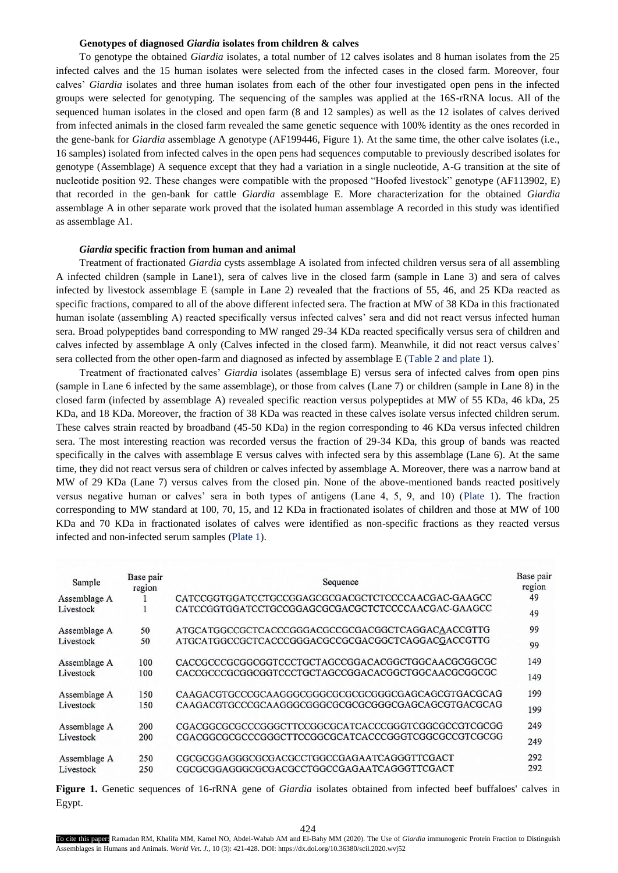## **Genotypes of diagnosed** *Giardia* **isolates from children & calves**

To genotype the obtained *Giardia* isolates, a total number of 12 calves isolates and 8 human isolates from the 25 infected calves and the 15 human isolates were selected from the infected cases in the closed farm. Moreover, four calves' *Giardia* isolates and three human isolates from each of the other four investigated open pens in the infected groups were selected for genotyping. The sequencing of the samples was applied at the 16S-rRNA locus. All of the sequenced human isolates in the closed and open farm (8 and 12 samples) as well as the 12 isolates of calves derived from infected animals in the closed farm revealed the same genetic sequence with 100% identity as the ones recorded in the gene-bank for *Giardia* assemblage A genotype (AF199446, Figure 1). At the same time, the other calve isolates (i.e., 16 samples) isolated from infected calves in the open pens had sequences computable to previously described isolates for genotype (Assemblage) A sequence except that they had a variation in a single nucleotide, A-G transition at the site of nucleotide position 92. These changes were compatible with the proposed "Hoofed livestock" genotype (AF113902, E) that recorded in the gen-bank for cattle *Giardia* assemblage E. More characterization for the obtained *Giardia* assemblage A in other separate work proved that the isolated human assemblage A recorded in this study was identified as assemblage A1.

#### *Giardia* **specific fraction from human and animal**

Treatment of fractionated *Giardia* cysts assemblage A isolated from infected children versus sera of all assembling A infected children (sample in Lane1), sera of calves live in the closed farm (sample in Lane 3) and sera of calves infected by livestock assemblage E (sample in Lane 2) revealed that the fractions of 55, 46, and 25 KDa reacted as specific fractions, compared to all of the above different infected sera. The fraction at MW of 38 KDa in this fractionated human isolate (assembling A) reacted specifically versus infected calves' sera and did not react versus infected human sera. Broad polypeptides band corresponding to MW ranged 29-34 KDa reacted specifically versus sera of children and calves infected by assemblage A only (Calves infected in the closed farm). Meanwhile, it did not react versus calves' sera collected from the other open-farm and diagnosed as infected by assemblage E (Table 2 and plate 1).

Treatment of fractionated calves' *Giardia* isolates (assemblage E) versus sera of infected calves from open pins (sample in Lane 6 infected by the same assemblage), or those from calves (Lane 7) or children (sample in Lane 8) in the closed farm (infected by assemblage A) revealed specific reaction versus polypeptides at MW of 55 KDa, 46 kDa, 25 KDa, and 18 KDa. Moreover, the fraction of 38 KDa was reacted in these calves isolate versus infected children serum. These calves strain reacted by broadband (45-50 KDa) in the region corresponding to 46 KDa versus infected children sera. The most interesting reaction was recorded versus the fraction of 29-34 KDa, this group of bands was reacted specifically in the calves with assemblage E versus calves with infected sera by this assemblage (Lane 6). At the same time, they did not react versus sera of children or calves infected by assemblage A. Moreover, there was a narrow band at MW of 29 KDa (Lane 7) versus calves from the closed pin. None of the above-mentioned bands reacted positively versus negative human or calves' sera in both types of antigens (Lane 4, 5, 9, and 10) (Plate 1). The fraction corresponding to MW standard at 100, 70, 15, and 12 KDa in fractionated isolates of children and those at MW of 100 KDa and 70 KDa in fractionated isolates of calves were identified as non-specific fractions as they reacted versus infected and non-infected serum samples (Plate 1).

| Sample       | Base pair<br>region | Sequence                                            |     |  |  |
|--------------|---------------------|-----------------------------------------------------|-----|--|--|
| Assemblage A |                     | CATCCGGTGGATCCTGCCGGAGCGCGACGCTCTCCCCAACGAC-GAAGCC  | 49  |  |  |
| Livestock    |                     | CATCCGGTGGATCCTGCCGGAGCGCGACGCTCTCCCCAACGAC-GAAGCC  | 49  |  |  |
| Assemblage A | 50                  | ATGCATGGCCGCTCACCCGGGACGCCGCGACGGCTCAGGACAACCGTTG   | 99  |  |  |
| Livestock    | 50                  | ATGCATGGCCGCTCACCCGGGACGCCGGGACGGCTCAGGACGACCGTTG   | 99  |  |  |
| Assemblage A | 100                 | CACCGCCCGCGGCGGTCCCTGCTAGCCGGACACGGCTGGCAACGCGGCGC  | 149 |  |  |
| Livestock    | 100                 | CACCGCCCGCGGCGGTCCCTGCTAGCCGGACACGGCTGGCAACGCGGCGC  | 149 |  |  |
| Assemblage A | 150                 | CAAGACGTGCCCGCAAGGGCGGGCGCGCGCGGGGCGAGCAGCGTGACGCAG | 199 |  |  |
| Livestock    | 150                 | CAAGACGTGCCCGCAAGGGCGGGCGCGCGCGGGGCGAGCAGCGTGACGCAG | 199 |  |  |
| Assemblage A | 200                 | CGACGGCGCGCCCGGGCTTCCGGCGCATCACCCGGGTCGGCGCCGTCGCGG | 249 |  |  |
| Livestock    | 200                 | CGACGGCGCGCCCGGGCTTCCGGCGCATCACCCGGGTCGGCGCCGTCGCGG | 249 |  |  |
| Assemblage A | 250                 | CGCGCGGAGGGCGCGACGCCTGGCCGAGAATCAGGGTTCGACT         | 292 |  |  |
| Livestock    | 250                 | CGCGCGGAGGGCGCGACGCCTGGCCGAGAATCAGGGTTCGACT         | 292 |  |  |

**Figure 1.** Genetic sequences of 16-rRNA gene of *Giardia* isolates obtained from infected beef buffaloes' calves in Egypt.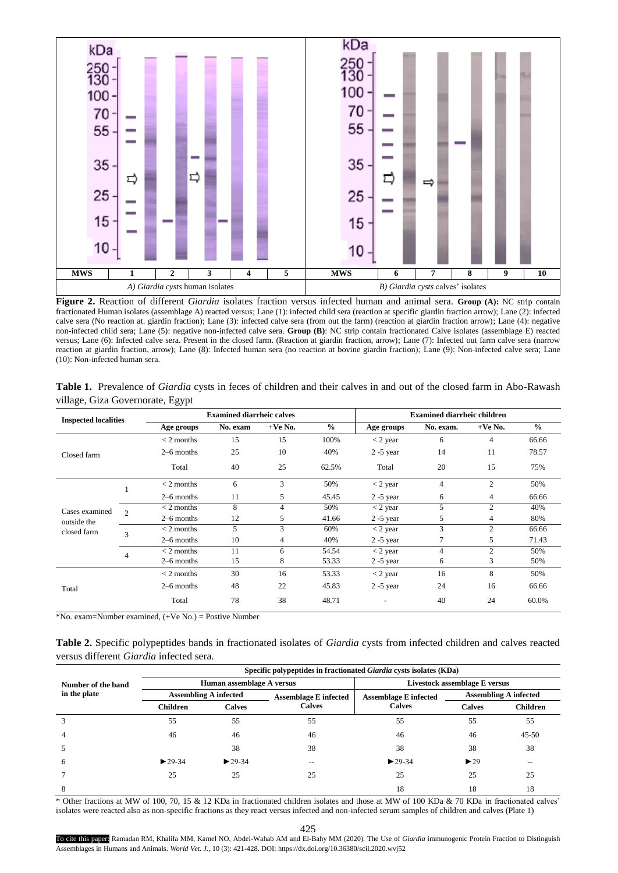

**Figure 2.** Reaction of different *Giardia* isolates fraction versus infected human and animal sera. **Group (A):** NC strip contain fractionated Human isolates (assemblage A) reacted versus; Lane (1): infected child sera (reaction at specific giardin fraction arrow); Lane (2): infected calve sera (No reaction at. giardin fraction); Lane (3): infected calve sera (from out the farm) (reaction at giardin fraction arrow); Lane (4): negative non-infected child sera; Lane (5): negative non-infected calve sera. **Group (B)**: NC strip contain fractionated Calve isolates (assemblage E) reacted versus; Lane (6): Infected calve sera. Present in the closed farm. (Reaction at giardin fraction, arrow); Lane (7): Infected out farm calve sera (narrow reaction at giardin fraction, arrow); Lane (8): Infected human sera (no reaction at bovine giardin fraction); Lane (9): Non-infected calve sera; Lane (10): Non-infected human sera.

**Table 1.** Prevalence of *Giardia* cysts in feces of children and their calves in and out of the closed farm in Abo-Rawash village, Giza Governorate, Egypt

| <b>Inspected localities</b>                  |                | <b>Examined diarrheic calves</b> |          |           |               | <b>Examined diarrheic children</b> |                |                |               |
|----------------------------------------------|----------------|----------------------------------|----------|-----------|---------------|------------------------------------|----------------|----------------|---------------|
|                                              |                | Age groups                       | No. exam | $+Ve$ No. | $\frac{0}{0}$ | Age groups                         | No. exam.      | $+Ve$ No.      | $\frac{0}{0}$ |
| Closed farm                                  |                | $<$ 2 months                     | 15       | 15        | 100%          | $<$ 2 year                         | 6              | 4              | 66.66         |
|                                              |                | $2-6$ months                     | 25       | 10        | 40%           | $2 - 5$ year                       | 14             | 11             | 78.57         |
|                                              |                | Total                            | 40       | 25        | 62.5%         | Total                              | 20             | 15             | 75%           |
| Cases examined<br>outside the<br>closed farm |                | $<$ 2 months                     | 6        | 3         | 50%           | $<$ 2 year                         | $\overline{4}$ | 2              | 50%           |
|                                              |                | $2-6$ months                     | 11       | 5         | 45.45         | $2 - 5$ year                       | 6              | 4              | 66.66         |
|                                              | $\mathfrak{D}$ | $<$ 2 months                     | 8        | 4         | 50%           | $<$ 2 year                         | 5              | $\mathfrak{D}$ | 40%           |
|                                              |                | $2-6$ months                     | 12       | 5         | 41.66         | $2 - 5$ year                       | 5              | 4              | 80%           |
|                                              | 3              | $<$ 2 months                     | 5        | 3         | 60%           | $<$ 2 year                         | 3              | 2              | 66.66         |
|                                              |                | $2-6$ months                     | 10       | 4         | 40%           | $2 - 5$ year                       |                | 5              | 71.43         |
|                                              | 4              | $<$ 2 months                     | 11       | 6         | 54.54         | $<$ 2 year                         | $\overline{4}$ | $\mathfrak{D}$ | 50%           |
|                                              |                | $2-6$ months                     | 15       | 8         | 53.33         | $2 - 5$ year                       | 6              | 3              | 50%           |
|                                              |                | $<$ 2 months                     | 30       | 16        | 53.33         | $<$ 2 year                         | 16             | 8              | 50%           |
| Total                                        |                | $2-6$ months                     | 48       | 22        | 45.83         | $2 - 5$ year                       | 24             | 16             | 66.66         |
|                                              |                | Total                            | 78       | 38        | 48.71         |                                    | 40             | 24             | 60.0%         |

\*No. exam=Number examined, (+Ve No.) = Postive Number

**Table 2.** Specific polypeptides bands in fractionated isolates of *Giardia* cysts from infected children and calves reacted versus different *Giardia* infected sera.

|                    | Specific polypeptides in fractionated Giardia cysts isolates (KDa) |                             |                              |                               |                              |                 |  |  |
|--------------------|--------------------------------------------------------------------|-----------------------------|------------------------------|-------------------------------|------------------------------|-----------------|--|--|
| Number of the band |                                                                    | Human assemblage A versus   |                              | Livestock assemblage E versus |                              |                 |  |  |
| in the plate       | <b>Assembling A infected</b>                                       |                             | <b>Assemblage E infected</b> | <b>Assemblage E infected</b>  | <b>Assembling A infected</b> |                 |  |  |
|                    | <b>Children</b>                                                    | <b>Calves</b>               | <b>Calves</b>                | <b>Calves</b>                 | <b>Calves</b>                | <b>Children</b> |  |  |
| 3                  | 55                                                                 | 55                          | 55                           | 55                            | 55                           | 55              |  |  |
| 4                  | 46                                                                 | 46                          | 46                           | 46                            | 46                           | $45 - 50$       |  |  |
|                    |                                                                    | 38                          | 38                           | 38                            | 38                           | 38              |  |  |
| 6                  | $\blacktriangleright$ 29-34                                        | $\blacktriangleright$ 29-34 | --                           | $\blacktriangleright$ 29-34   | $\blacktriangleright$ 29     | --              |  |  |
|                    | 25                                                                 | 25                          | 25                           | 25                            | 25                           | 25              |  |  |
| 8                  |                                                                    |                             |                              | 18                            | 18                           | 18              |  |  |

\* Other fractions at MW of 100, 70, 15 & 12 KDa in fractionated children isolates and those at MW of 100 KDa & 70 KDa in fractionated calves' isolates were reacted also as non-specific fractions as they react versus infected and non-infected serum samples of children and calves (Plate 1)

425

To cite this paper: Ramadan RM, Khalifa MM, Kamel NO, Abdel-Wahab AM and El-Bahy MM (2020). The Use of *Giardia* immunogenic Protein Fraction to Distinguish Assemblages in Humans and Animals. *World Vet. J.,* 10 (3): 421-428. DOI: https://dx.doi.org/10.36380/scil.2020.wvj52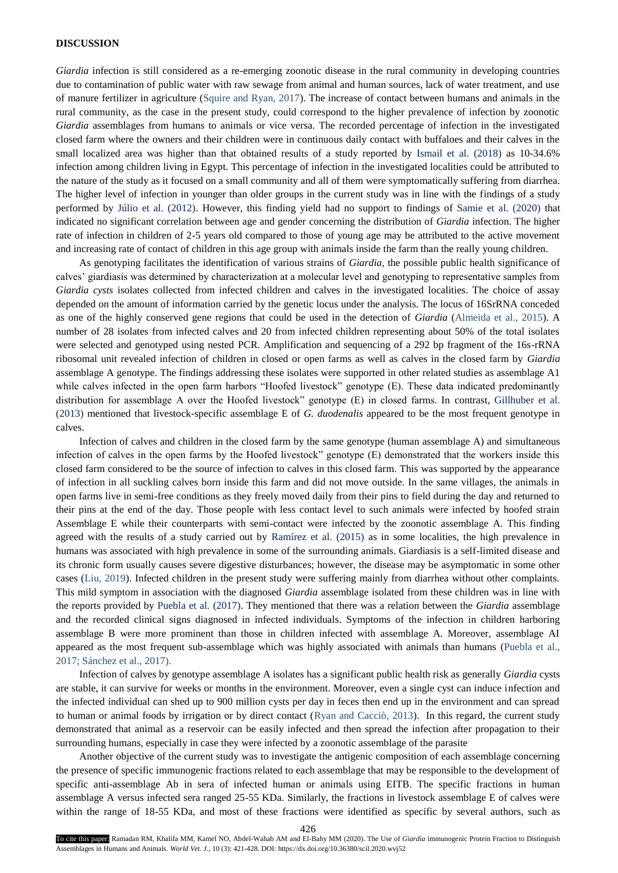## **DISCUSSION**

*Giardia* infection is still considered as a re-emerging zoonotic disease in the rural community in developing countries due to contamination of public water with raw sewage from animal and human sources, lack of water treatment, and use of manure fertilizer in agriculture (Squire and Ryan, 2017). The increase of contact between humans and animals in the rural community, as the case in the present study, could correspond to the higher prevalence of infection by zoonotic *Giardia* assemblages from humans to animals or vice versa. The recorded percentage of infection in the investigated closed farm where the owners and their children were in continuous daily contact with buffaloes and their calves in the small localized area was higher than that obtained results of a study reported by Ismail et al. (2018) as 10-34.6% infection among children living in Egypt. This percentage of infection in the investigated localities could be attributed to the nature of the study as it focused on a small community and all of them were symptomatically suffering from diarrhea. The higher level of infection in younger than older groups in the current study was in line with the findings of a study performed by Júlio et al. (2012). However, this finding yield had no support to findings of Samie et al. (2020) that indicated no significant correlation between age and gender concerning the distribution of *Giardia* infection. The higher rate of infection in children of 2-5 years old compared to those of young age may be attributed to the active movement and increasing rate of contact of children in this age group with animals inside the farm than the really young children.

As genotyping facilitates the identification of various strains of *Giardia*, the possible public health significance of calves' giardiasis was determined by characterization at a molecular level and genotyping to representative samples from *Giardia cysts* isolates collected from infected children and calves in the investigated localities. The choice of assay depended on the amount of information carried by the genetic locus under the analysis. The locus of 16SrRNA conceded as one of the highly conserved gene regions that could be used in the detection of *Giardia* (Almeida et al., 2015). A number of 28 isolates from infected calves and 20 from infected children representing about 50% of the total isolates were selected and genotyped using nested PCR. Amplification and sequencing of a 292 bp fragment of the 16s-rRNA ribosomal unit revealed infection of children in closed or open farms as well as calves in the closed farm by *Giardia* assemblage A genotype. The findings addressing these isolates were supported in other related studies as assemblage A1 while calves infected in the open farm harbors "Hoofed livestock" genotype (E). These data indicated predominantly distribution for assemblage A over the Hoofed livestock" genotype (E) in closed farms. In contrast, Gillhuber et al. (2013) mentioned that livestock-specific assemblage E of *G. duodenalis* appeared to be the most frequent genotype in calves.

Infection of calves and children in the closed farm by the same genotype (human assemblage A) and simultaneous infection of calves in the open farms by the Hoofed livestock" genotype (E) demonstrated that the workers inside this closed farm considered to be the source of infection to calves in this closed farm. This was supported by the appearance of infection in all suckling calves born inside this farm and did not move outside. In the same villages, the animals in open farms live in semi-free conditions as they freely moved daily from their pins to field during the day and returned to their pins at the end of the day. Those people with less contact level to such animals were infected by hoofed strain Assemblage E while their counterparts with semi-contact were infected by the zoonotic assemblage A. This finding agreed with the results of a study carried out by Ramírez et al. (2015) as in some localities, the high prevalence in humans was associated with high prevalence in some of the surrounding animals. Giardiasis is a self-limited disease and its chronic form usually causes severe digestive disturbances; however, the disease may be asymptomatic in some other cases (Liu, 2019). Infected children in the present study were suffering mainly from diarrhea without other complaints. This mild symptom in association with the diagnosed *Giardia* assemblage isolated from these children was in line with the reports provided by Puebla et al. (2017). They mentioned that there was a relation between the *Giardia* assemblage and the recorded clinical signs diagnosed in infected individuals. Symptoms of the infection in children harboring assemblage B were more prominent than those in children infected with assemblage A. Moreover, assemblage AI appeared as the most frequent sub-assemblage which was highly associated with animals than humans (Puebla et al., 2017; Sánchez et al., 2017).

Infection of calves by genotype assemblage A isolates has a significant public health risk as generally *Giardia* cysts are stable, it can survive for weeks or months in the environment. Moreover, even a single cyst can induce infection and the infected individual can shed up to 900 million cysts per day in feces then end up in the environment and can spread to human or animal foods by irrigation or by direct contact (Ryan and Cacciò, 2013). In this regard, the current study demonstrated that animal as a reservoir can be easily infected and then spread the infection after propagation to their surrounding humans, especially in case they were infected by a zoonotic assemblage of the parasite

Another objective of the current study was to investigate the antigenic composition of each assemblage concerning the presence of specific immunogenic fractions related to each assemblage that may be responsible to the development of specific anti-assemblage Ab in sera of infected human or animals using EITB. The specific fractions in human assemblage A versus infected sera ranged 25-55 KDa. Similarly, the fractions in livestock assemblage E of calves were within the range of 18-55 KDa, and most of these fractions were identified as specific by several authors, such as

426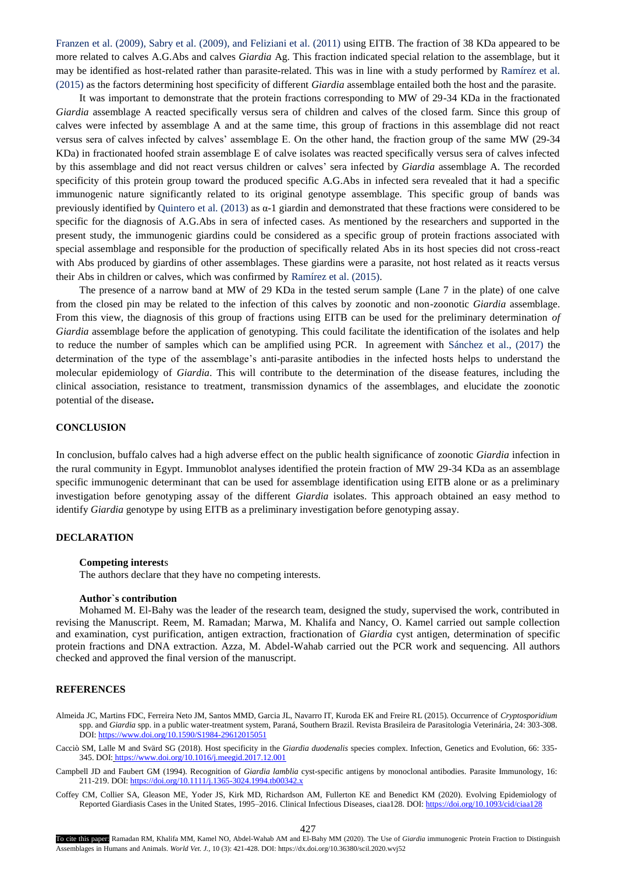Franzen et al. (2009), Sabry et al. (2009), and Feliziani et al. (2011) using EITB. The fraction of 38 KDa appeared to be more related to calves A.G.Abs and calves *Giardia* Ag. This fraction indicated special relation to the assemblage, but it may be identified as host-related rather than parasite-related. This was in line with a study performed by Ramírez et al. (2015) as the factors determining host specificity of different *Giardia* assemblage entailed both the host and the parasite.

It was important to demonstrate that the protein fractions corresponding to MW of 29-34 KDa in the fractionated *Giardia* assemblage A reacted specifically versus sera of children and calves of the closed farm. Since this group of calves were infected by assemblage A and at the same time, this group of fractions in this assemblage did not react versus sera of calves infected by calves' assemblage E. On the other hand, the fraction group of the same MW (29-34 KDa) in fractionated hoofed strain assemblage E of calve isolates was reacted specifically versus sera of calves infected by this assemblage and did not react versus children or calves' sera infected by *Giardia* assemblage A. The recorded specificity of this protein group toward the produced specific A.G.Abs in infected sera revealed that it had a specific immunogenic nature significantly related to its original genotype assemblage. This specific group of bands was previously identified by Quintero et al. (2013) as  $\alpha$ -1 giardin and demonstrated that these fractions were considered to be specific for the diagnosis of A.G.Abs in sera of infected cases. As mentioned by the researchers and supported in the present study, the immunogenic giardins could be considered as a specific group of protein fractions associated with special assemblage and responsible for the production of specifically related Abs in its host species did not cross-react with Abs produced by giardins of other assemblages. These giardins were a parasite, not host related as it reacts versus their Abs in children or calves, which was confirmed by Ramírez et al. (2015).

The presence of a narrow band at MW of 29 KDa in the tested serum sample (Lane 7 in the plate) of one calve from the closed pin may be related to the infection of this calves by zoonotic and non-zoonotic *Giardia* assemblage. From this view, the diagnosis of this group of fractions using EITB can be used for the preliminary determination *of Giardia* assemblage before the application of genotyping. This could facilitate the identification of the isolates and help to reduce the number of samples which can be amplified using PCR. In agreement with Sánchez et al., (2017) the determination of the type of the assemblage's anti-parasite antibodies in the infected hosts helps to understand the molecular epidemiology of *Giardia*. This will contribute to the determination of the disease features, including the clinical association, resistance to treatment, transmission dynamics of the assemblages, and elucidate the zoonotic potential of the disease**.** 

# **CONCLUSION**

In conclusion, buffalo calves had a high adverse effect on the public health significance of zoonotic *Giardia* infection in the rural community in Egypt. Immunoblot analyses identified the protein fraction of MW 29-34 KDa as an assemblage specific immunogenic determinant that can be used for assemblage identification using EITB alone or as a preliminary investigation before genotyping assay of the different *Giardia* isolates. This approach obtained an easy method to identify *Giardia* genotype by using EITB as a preliminary investigation before genotyping assay.

## **DECLARATION**

## **Competing interest**s

The authors declare that they have no competing interests.

#### **Author`s contribution**

Mohamed M. El-Bahy was the leader of the research team, designed the study, supervised the work, contributed in revising the Manuscript. Reem, M. Ramadan; Marwa, M. Khalifa and Nancy, O. Kamel carried out sample collection and examination, cyst purification, antigen extraction, fractionation of *Giardia* cyst antigen, determination of specific protein fractions and DNA extraction. Azza, M. Abdel-Wahab carried out the PCR work and sequencing. All authors checked and approved the final version of the manuscript.

# **REFERENCES**

- Almeida JC, Martins FDC, Ferreira Neto JM, Santos MMD, Garcia JL, Navarro IT, Kuroda EK and Freire RL (2015). Occurrence of *Cryptosporidium* spp. and *Giardia* spp. in a public water-treatment system, Paraná, Southern Brazil. Revista Brasileira de Parasitologia Veterinária, 24: 303-308. DOI:<https://www.doi.org/10.1590/S1984-29612015051>
- Cacciò SM, Lalle M and Svärd SG (2018). Host specificity in the *Giardia duodenalis* species complex. Infection, Genetics and Evolution, 66: 335- 345. DOI: https://www.doi.org/10.1016/j.meegid.2017.12.001
- Campbell JD and [Faubert GM \(](http://www.ncbi.nlm.nih.gov/sites/entrez?Db=pubmed&Cmd=Search&Term=%22Faubert%20GM%22%5BAuthor%5D&itool=EntrezSystem2.PEntrez.Pubmed.Pubmed_ResultsPanel.Pubmed_DiscoveryPanel.Pubmed_RVAbstractPlus)1994). Recognition of *Giardia lamblia* cyst-specific antigens by monoclonal antibodies. [Parasite Immunolo](javascript:AL_get(this,%20)gy, 16: 211-219. DOI: https://doi.org/10.1111/j.1365-3024.1994.tb00342.x
- Coffey CM, Collier SA, Gleason ME, Yoder JS, Kirk MD, Richardson AM, Fullerton KE and Benedict KM (2020). Evolving Epidemiology of Reported Giardiasis Cases in the United States, 1995–2016. Clinical Infectious Diseases, ciaa128. DOI[: https://doi.org/10.1093/cid/ciaa128](https://doi.org/10.1093/cid/ciaa128)

427

To cite this paper: Ramadan RM, Khalifa MM, Kamel NO, Abdel-Wahab AM and El-Bahy MM (2020). The Use of *Giardia* immunogenic Protein Fraction to Distinguish Assemblages in Humans and Animals. *World Vet. J.,* 10 (3): 421-428. DOI: https://dx.doi.org/10.36380/scil.2020.wvj52